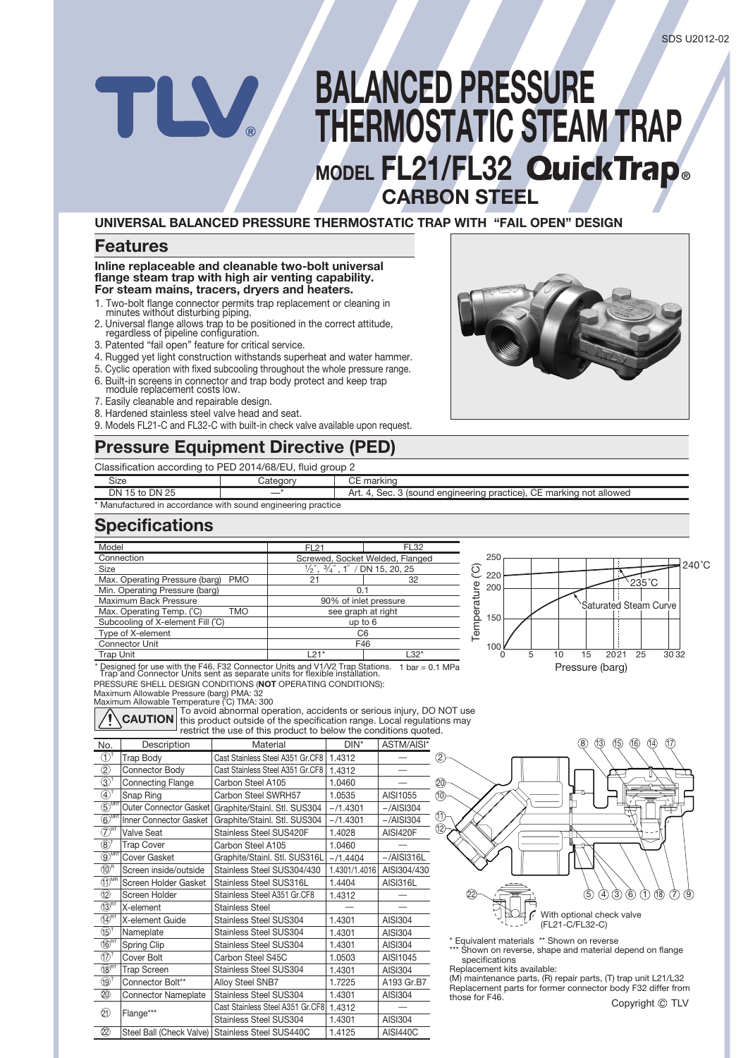# **BALANCED PRESSURE THERMOSTATIC STEAM TRAP MODEL FL21/FL32** *QuickTrap* **® CARBON STEEL**

#### **UNIVERSAL BALANCED PRESSURE THERMOSTATIC TRAP WITH "FAIL OPEN" DESIGN**

### **Features**

#### **Inline replaceable and cleanable two-bolt universal flange steam trap with high air venting capability. For steam mains, tracers, dryers and heaters.**

- 1. Two-bolt flange connector permits trap replacement or cleaning in minutes without disturbing piping.
- 2. Universal flange allows trap to be positioned in the correct attitude, regardless of pipeline configuration.
- 3. Patented "fail open" feature for critical service.
- 4. Rugged yet light construction withstands superheat and water hammer.
- 5. Cyclic operation with fixed subcooling throughout the whole pressure range.
- 6. Built-in screens in connector and trap body protect and keep trap module replacement costs low.
- 7. Easily cleanable and repairable design.
- 8. Hardened stainless steel valve head and seat.
- 9. Models FL21-C and FL32-C with built-in check valve available upon request.

# **Pressure Equipment Directive (PED)**

Classification according to PED 2014/68/EU, fluid group 2

| Size                                                | :atanon               | наг<br>$\mathbf{N}$                                                            |
|-----------------------------------------------------|-----------------------|--------------------------------------------------------------------------------|
| 25<br>DΝ<br>DN<br>` 15 to .                         |                       | , enaineerina<br>practice).<br>allowed<br>SAC<br>rking not.<br>` (sound<br>на. |
| * Manufactured in accordance with sound engineering | <sup>*</sup> practice |                                                                                |

## **Specifications**

| Model                                   | <b>FL21</b>                                                        | <b>FL32</b>                     |  |  |
|-----------------------------------------|--------------------------------------------------------------------|---------------------------------|--|--|
| Connection                              |                                                                    | Screwed, Socket Welded, Flanged |  |  |
| <b>Size</b>                             | $\frac{1}{2}$ , $\frac{3}{4}$ , $\frac{3}{4}$ , 1' / DN 15, 20, 25 |                                 |  |  |
| Max. Operating Pressure (barg) PMO      | 21                                                                 | 32                              |  |  |
| Min. Operating Pressure (barg)          | 0.1                                                                |                                 |  |  |
| Maximum Back Pressure                   | 90% of inlet pressure                                              |                                 |  |  |
| Max. Operating Temp. (°C)<br><b>TMO</b> | see graph at right                                                 |                                 |  |  |
| Subcooling of X-element Fill (°C)       | up to 6                                                            |                                 |  |  |
| Type of X-element                       | C <sub>6</sub>                                                     |                                 |  |  |
| <b>Connector Unit</b>                   | F46                                                                |                                 |  |  |
| Trap Unit                               | $121*$                                                             | $L32*$                          |  |  |
|                                         |                                                                    |                                 |  |  |



PRESSURE SHELL DESIGN CONDITIONS (**NOT** OPERATING CONDITIONS):

Maximum Allowable Pressure (barg) PMA: 32<br>Maximum Allowable Temperature (°C) TMA: 300



To avoid abnormal operation, accidents or serious injury, DO NOT use this product outside of the specification range. Local regulations may restrict the use of this product to below the conditions quoted. **CAUTION**

| No.                                         | Description                   | Material                         | $DIN^*$       | ASTM/AISI*      |
|---------------------------------------------|-------------------------------|----------------------------------|---------------|-----------------|
| D,                                          | <b>Trap Body</b>              | Cast Stainless Steel A351 Gr.CF8 | 1.4312        |                 |
| $^{\circledR}$                              | Connector Body                | Cast Stainless Steel A351 Gr.CF8 | 1.4312        |                 |
| $\circledS$                                 | <b>Connecting Flange</b>      | Carbon Steel A105                | 1.0460        |                 |
| $\textcircled{4}^\intercal$                 | Snap Ring                     | Carbon Steel SWRH57              | 1.0535        | AISI1055        |
| $\overline{\text{S}}^{\text{MRT}}$          | Outer Connector Gasket        | Graphite/Stainl. Stl. SUS304     | $-71.4301$    | $-$ /AISI304    |
| $\widehat{\mathbb{G}}^{\text{MRT}}$         | <b>Inner Connector Gasket</b> | Graphite/Stainl. Stl. SUS304     | $-71.4301$    | $-$ /AISI304    |
| $\widehat{\mathcal{D}}^{\texttt{\tiny RT}}$ | <b>Valve Seat</b>             | Stainless Steel SUS420F          | 1.4028        | <b>AISI420F</b> |
| $\circledR^1$                               | <b>Trap Cover</b>             | Carbon Steel A105                | 1.0460        |                 |
| $\circledS^{\overline{\text{MRT}}}$         | <b>Cover Gasket</b>           | Graphite/Stainl. Stl. SUS316L    | $-/1.4404$    | $-$ /AISI316L   |
| $(10)^R$                                    | Screen inside/outside         | Stainless Steel SUS304/430       | 1.4301/1.4016 | AISI304/430     |
| $(1)$ <sup>MR</sup>                         | Screen Holder Gasket          | Stainless Steel SUS316L          | 1.4404        | AISI316L        |
| $\circledR$                                 | Screen Holder                 | Stainless Steel A351 Gr.CF8      | 1.4312        |                 |
| $(13)$ <sup>RT</sup>                        | X-element                     | <b>Stainless Steel</b>           |               |                 |
| $\overline{\text{14}}^{\text{RT}}$          | X-element Guide               | <b>Stainless Steel SUS304</b>    | 1.4301        | AISI304         |
| $(15)$ <sup>T</sup>                         | Nameplate                     | <b>Stainless Steel SUS304</b>    | 1.4301        | AISI304         |
| $(16)$ <sub>RT</sub>                        | Spring Clip                   | <b>Stainless Steel SUS304</b>    | 1.4301        | AISI304         |
| $(17)$ <sup>T</sup>                         | Cover Bolt                    | Carbon Steel S45C                | 1.0503        | AISI1045        |
| $(18)$ <sub>RT</sub>                        | <b>Trap Screen</b>            | <b>Stainless Steel SUS304</b>    | 1.4301        | AISI304         |
| $(19)$ <sup>T</sup>                         | Connector Bolt**              | Alloy Steel SNB7                 | 1.7225        | A193 Gr.B7      |
| ⊘                                           | <b>Connector Nameplate</b>    | Stainless Steel SUS304           | 1.4301        | AISI304         |
| 包                                           |                               | Cast Stainless Steel A351 Gr.CF8 | 1.4312        |                 |
|                                             | Flange***                     | <b>Stainless Steel SUS304</b>    | 1.4301        | <b>AISI304</b>  |
| 2                                           | Steel Ball (Check Valve)      | Stainless Steel SUS440C          | 1.4125        | <b>AISI440C</b> |



- \* Equivalent materials \*\* Shown on reverse
- Shown on reverse, shape and material depend on flange specifications
- Replacement kits available: (M) maintenance parts, (R) repair parts, (T) trap unit L21/L32 Replacement parts for former connector body F32 differ from those for F46.